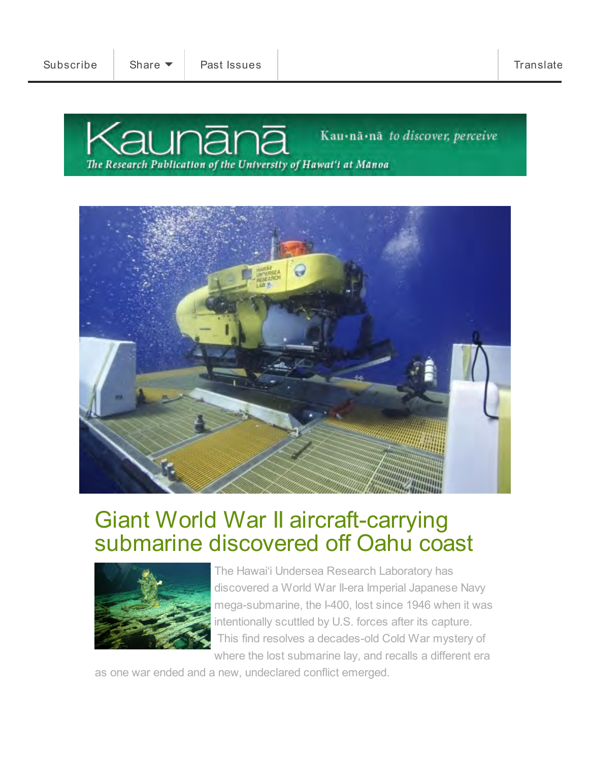Kaunānā is the online research publication of the University of Hawai'i at Mānoa.





## Giant World War II aircraft-carrying [submarine discovered off Oahu coast](http://manoa.hawaii.edu/kaunana/giant-world-war-ii-aircraft-carrying-submarine-discovered-off-oahu-coast/)



The Hawai'i Undersea Research Laboratory has discovered a World War II-era Imperial Japanese Navy mega-submarine, the I-400, lost since 1946 when it was intentionally scuttled by U.S. forces after its capture. This find resolves a decades-old Cold War mystery of where the lost submarine lay, and recalls a different era

as one war ended and a new, undeclared conflict emerged.